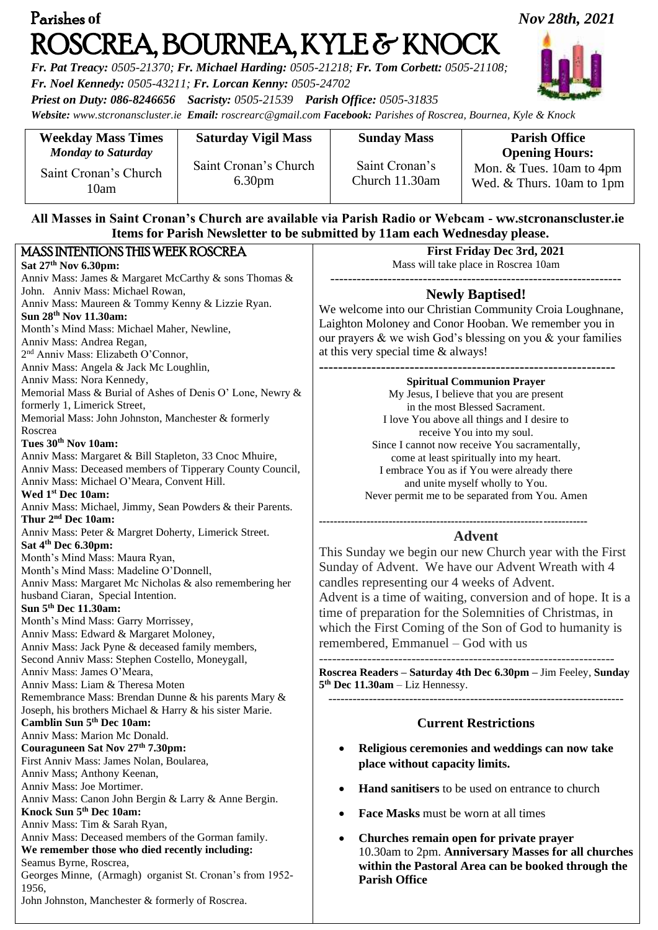| Parishes of                                                                                                                                                                                                                                                             | Nov 28th, 2021                              |                                                                                                                  |                                                         |  |  |
|-------------------------------------------------------------------------------------------------------------------------------------------------------------------------------------------------------------------------------------------------------------------------|---------------------------------------------|------------------------------------------------------------------------------------------------------------------|---------------------------------------------------------|--|--|
| ROSCREA, BOURNEA, KYLE & KNOCK<br>Fr. Pat Treacy: 0505-21370; Fr. Michael Harding: 0505-21218; Fr. Tom Corbett: 0505-21108;<br>Fr. Noel Kennedy: 0505-43211; Fr. Lorcan Kenny: 0505-24702<br>Priest on Duty: 086-8246656 Sacristy: 0505-21539 Parish Office: 0505-31835 |                                             |                                                                                                                  |                                                         |  |  |
|                                                                                                                                                                                                                                                                         |                                             | Website: www.stcronanscluster.ie Email: roscrearc@gmail.com Facebook: Parishes of Roscrea, Bournea, Kyle & Knock |                                                         |  |  |
| <b>Weekday Mass Times</b><br><b>Monday to Saturday</b>                                                                                                                                                                                                                  | <b>Saturday Vigil Mass</b>                  | <b>Sunday Mass</b>                                                                                               | <b>Parish Office</b><br><b>Opening Hours:</b>           |  |  |
| Saint Cronan's Church<br>10am                                                                                                                                                                                                                                           | Saint Cronan's Church<br>6.30 <sub>pm</sub> | Saint Cronan's<br>Church 11.30am                                                                                 | Mon. & Tues. 10am to 4pm<br>Wed. & Thurs. 10am to 1pm   |  |  |
| All Masses in Saint Cronan's Church are available via Parish Radio or Webcam - ww.stcronanscluster.ie<br>Items for Parish Newsletter to be submitted by 11am each Wednesday please.                                                                                     |                                             |                                                                                                                  |                                                         |  |  |
| <b>MASS INTENTIONS THIS WEEK ROSCREA</b>                                                                                                                                                                                                                                |                                             | <b>First Friday Dec 3rd, 2021</b>                                                                                |                                                         |  |  |
| Sat 27th Nov 6.30pm:                                                                                                                                                                                                                                                    |                                             | Mass will take place in Roscrea 10am                                                                             |                                                         |  |  |
| Anniv Mass: James & Margaret McCarthy & sons Thomas &                                                                                                                                                                                                                   |                                             |                                                                                                                  |                                                         |  |  |
| John. Anniv Mass: Michael Rowan,                                                                                                                                                                                                                                        |                                             | <b>Newly Baptised!</b>                                                                                           |                                                         |  |  |
| Anniv Mass: Maureen & Tommy Kenny & Lizzie Ryan.                                                                                                                                                                                                                        |                                             | We welcome into our Christian Community Croia Loughnane,                                                         |                                                         |  |  |
| Sun 28th Nov 11.30am:                                                                                                                                                                                                                                                   |                                             | Laighton Moloney and Conor Hooban. We remember you in                                                            |                                                         |  |  |
| Month's Mind Mass: Michael Maher, Newline,                                                                                                                                                                                                                              |                                             | our prayers & we wish God's blessing on you & your families                                                      |                                                         |  |  |
| Anniv Mass: Andrea Regan,<br>2 <sup>nd</sup> Anniv Mass: Elizabeth O'Connor,                                                                                                                                                                                            |                                             | at this very special time & always!                                                                              |                                                         |  |  |
| Anniv Mass: Angela & Jack Mc Loughlin,                                                                                                                                                                                                                                  |                                             |                                                                                                                  |                                                         |  |  |
| Anniv Mass: Nora Kennedy,                                                                                                                                                                                                                                               |                                             | <b>Spiritual Communion Prayer</b>                                                                                |                                                         |  |  |
| Memorial Mass & Burial of Ashes of Denis O' Lone, Newry &                                                                                                                                                                                                               |                                             | My Jesus, I believe that you are present                                                                         |                                                         |  |  |
| formerly 1, Limerick Street,                                                                                                                                                                                                                                            |                                             | in the most Blessed Sacrament.                                                                                   |                                                         |  |  |
| Memorial Mass: John Johnston, Manchester & formerly                                                                                                                                                                                                                     |                                             | I love You above all things and I desire to                                                                      |                                                         |  |  |
| Roscrea                                                                                                                                                                                                                                                                 |                                             | receive You into my soul.                                                                                        |                                                         |  |  |
| Tues 30 <sup>th</sup> Nov 10am:                                                                                                                                                                                                                                         |                                             | Since I cannot now receive You sacramentally,                                                                    |                                                         |  |  |
| Anniv Mass: Margaret & Bill Stapleton, 33 Cnoc Mhuire,                                                                                                                                                                                                                  |                                             | come at least spiritually into my heart.                                                                         |                                                         |  |  |
| Anniv Mass: Deceased members of Tipperary County Council,                                                                                                                                                                                                               |                                             | I embrace You as if You were already there                                                                       |                                                         |  |  |
| Anniv Mass: Michael O'Meara, Convent Hill.<br>Wed 1 <sup>st</sup> Dec 10am:                                                                                                                                                                                             |                                             | and unite myself wholly to You.<br>Never permit me to be separated from You. Amen                                |                                                         |  |  |
| Anniv Mass: Michael, Jimmy, Sean Powders & their Parents.                                                                                                                                                                                                               |                                             |                                                                                                                  |                                                         |  |  |
| Thur 2 <sup>nd</sup> Dec 10am:                                                                                                                                                                                                                                          |                                             |                                                                                                                  |                                                         |  |  |
| Anniv Mass: Peter & Margret Doherty, Limerick Street.                                                                                                                                                                                                                   |                                             | <b>Advent</b>                                                                                                    |                                                         |  |  |
| Sat 4th Dec 6.30pm:                                                                                                                                                                                                                                                     |                                             | This Sunday we begin our new Church year with the First                                                          |                                                         |  |  |
| Month's Mind Mass: Maura Ryan,                                                                                                                                                                                                                                          |                                             | Sunday of Advent. We have our Advent Wreath with 4                                                               |                                                         |  |  |
| Month's Mind Mass: Madeline O'Donnell,                                                                                                                                                                                                                                  |                                             |                                                                                                                  |                                                         |  |  |
| Anniv Mass: Margaret Mc Nicholas & also remembering her                                                                                                                                                                                                                 |                                             | candles representing our 4 weeks of Advent.                                                                      |                                                         |  |  |
| husband Ciaran, Special Intention.<br>Sun 5 <sup>th</sup> Dec 11.30am:                                                                                                                                                                                                  |                                             | Advent is a time of waiting, conversion and of hope. It is a                                                     |                                                         |  |  |
| Month's Mind Mass: Garry Morrissey,                                                                                                                                                                                                                                     |                                             | time of preparation for the Solemnities of Christmas, in                                                         |                                                         |  |  |
| Anniv Mass: Edward & Margaret Moloney,                                                                                                                                                                                                                                  |                                             | which the First Coming of the Son of God to humanity is                                                          |                                                         |  |  |
| Anniv Mass: Jack Pyne & deceased family members,                                                                                                                                                                                                                        |                                             | remembered, Emmanuel – God with us                                                                               |                                                         |  |  |
| Second Anniv Mass: Stephen Costello, Moneygall,                                                                                                                                                                                                                         |                                             |                                                                                                                  |                                                         |  |  |
| Anniv Mass: James O'Meara,                                                                                                                                                                                                                                              |                                             | Roscrea Readers - Saturday 4th Dec 6.30pm - Jim Feeley, Sunday                                                   |                                                         |  |  |
| Anniv Mass: Liam & Theresa Moten                                                                                                                                                                                                                                        |                                             | $5th$ Dec 11.30am – Liz Hennessy.                                                                                |                                                         |  |  |
| Remembrance Mass: Brendan Dunne & his parents Mary &                                                                                                                                                                                                                    |                                             |                                                                                                                  |                                                         |  |  |
| Joseph, his brothers Michael & Harry & his sister Marie.                                                                                                                                                                                                                |                                             |                                                                                                                  |                                                         |  |  |
| Camblin Sun 5 <sup>th</sup> Dec 10am:<br>Anniv Mass: Marion Mc Donald.                                                                                                                                                                                                  |                                             | <b>Current Restrictions</b>                                                                                      |                                                         |  |  |
| Couraguneen Sat Nov 27th 7.30pm:                                                                                                                                                                                                                                        |                                             |                                                                                                                  | Religious ceremonies and weddings can now take          |  |  |
| First Anniv Mass: James Nolan, Boularea,                                                                                                                                                                                                                                |                                             | place without capacity limits.                                                                                   |                                                         |  |  |
| Anniv Mass; Anthony Keenan,                                                                                                                                                                                                                                             |                                             |                                                                                                                  |                                                         |  |  |
| Anniv Mass: Joe Mortimer.                                                                                                                                                                                                                                               |                                             |                                                                                                                  | <b>Hand sanitisers</b> to be used on entrance to church |  |  |
| Anniv Mass: Canon John Bergin & Larry & Anne Bergin.                                                                                                                                                                                                                    |                                             |                                                                                                                  |                                                         |  |  |
| Knock Sun 5 <sup>th</sup> Dec 10am:                                                                                                                                                                                                                                     |                                             | Face Masks must be worn at all times<br>$\bullet$                                                                |                                                         |  |  |
| Anniv Mass: Tim & Sarah Ryan,                                                                                                                                                                                                                                           |                                             |                                                                                                                  |                                                         |  |  |
| Anniv Mass: Deceased members of the Gorman family.                                                                                                                                                                                                                      |                                             | ٠                                                                                                                | Churches remain open for private prayer                 |  |  |
| We remember those who died recently including:<br>Seamus Byrne, Roscrea,                                                                                                                                                                                                |                                             | 10.30am to 2pm. Anniversary Masses for all churches                                                              |                                                         |  |  |
| Georges Minne, (Armagh) organist St. Cronan's from 1952-                                                                                                                                                                                                                |                                             | within the Pastoral Area can be booked through the                                                               |                                                         |  |  |
| 1956,                                                                                                                                                                                                                                                                   |                                             | <b>Parish Office</b>                                                                                             |                                                         |  |  |
| John Johnston, Manchester & formerly of Roscrea.                                                                                                                                                                                                                        |                                             |                                                                                                                  |                                                         |  |  |